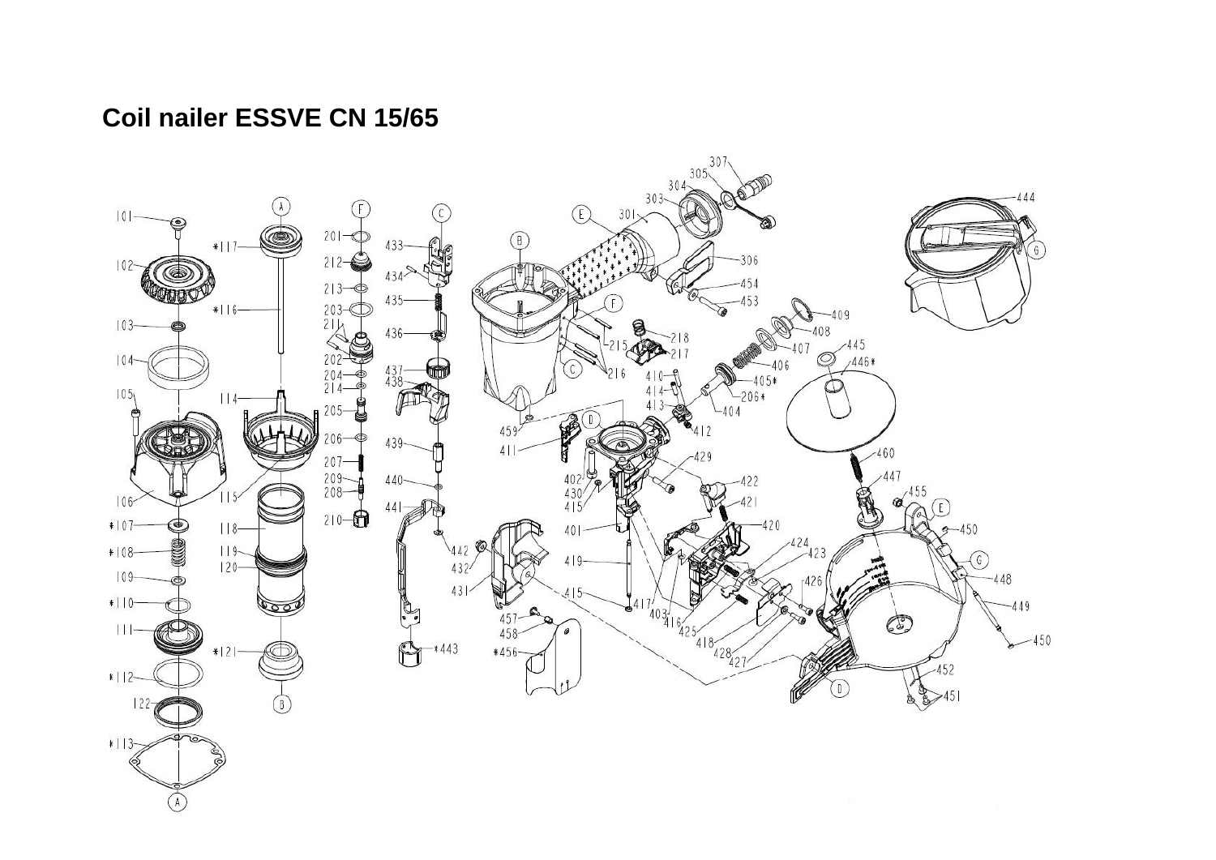## Coil nailer ESSVE CN 15/65